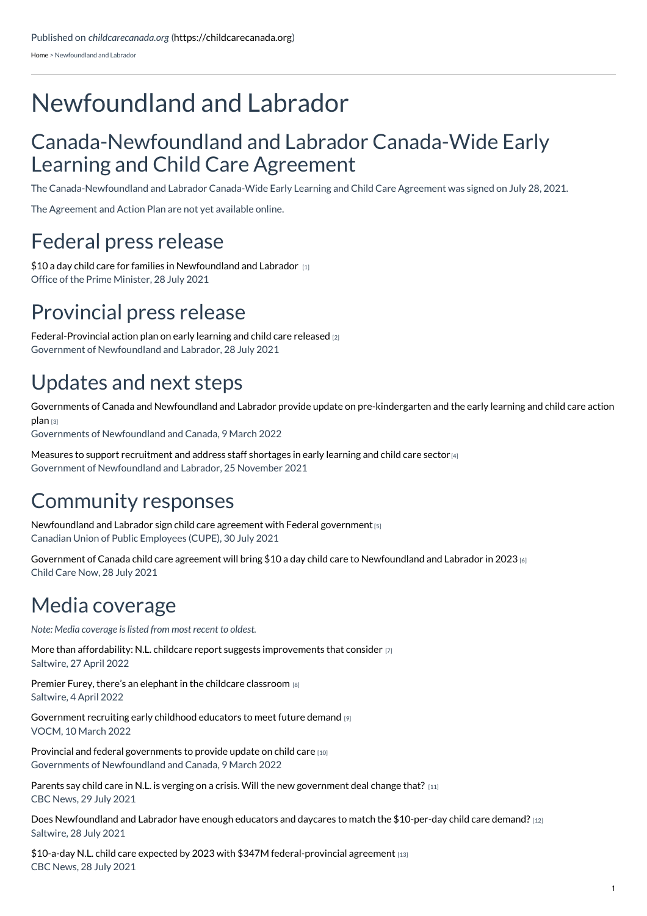[Home](https://childcarecanada.org/) > Newfoundland and Labrador

# Newfoundland and Labrador

#### Canada-Newfoundland and Labrador Canada-Wide Early Learning and Child Care Agreement

The Canada-Newfoundland and Labrador Canada-Wide Early Learning and Child Care Agreement was signed on July 28, 2021.

The Agreement and Action Plan are not yet available online.

#### Federal press release

\$10 a day child care for families in [Newfoundland](https://childcarecanada.org/documents/research-policy-practice/21/07/10-day-child-care-families-newfoundland-and-labrador) and Labrador [1] Office of the Prime Minister, 28 July 2021

### Provincial press release

[Federal-Provincial](https://childcarecanada.org/documents/research-policy-practice/21/07/federal-provincial-action-plan-early-learning-and-child) action plan on early learning and child care released [2] Government of Newfoundland and Labrador, 28 July 2021

## Updates and next steps

Governments of Canada and Newfoundland and Labrador provide update on [pre-kindergarten](https://childcarecanada.org/documents/child-care-news/22/03/governments-canada-and-newfoundland-and-labrador-provide-update-pre) and the early learning and child care action plan [3]

Governments of Newfoundland and Canada, 9 March 2022

Measures to support [recruitment](https://childcarecanada.org/documents/research-policy-practice/21/12/measures-support-recruitment-and-address-staff-shortages) and address staff shortages in early learning and child care sector  $\left(4\right)$ Government of Newfoundland and Labrador, 25 November 2021

#### Community responses

[Newfoundland](https://childcarecanada.org/documents/child-care-news/21/08/newfoundland-and-labrador-sign-child-care-agreement-federal) and Labrador sign child care agreement with Federal government [5] Canadian Union of Public Employees (CUPE), 30 July 2021

Government of Canada child care agreement will bring \$10 a day child care to [Newfoundland](https://childcarecanada.org/documents/research-policy-practice/21/07/government-canada-child-care-agreement-will-bring-10-day) and Labrador in 2023 [6] Child Care Now, 28 July 2021

## Media coverage

*Note: Media coverage is listed from most recent to oldest.*

More than affordability: N.L. childcare report suggests [improvements](https://childcarecanada.org/documents/child-care-news/22/05/more-affordability-nl-childcare-report-suggests-improvements) that consider [7] Saltwire, 27 April 2022

Premier Furey, there's an elephant in the childcare [classroom](https://childcarecanada.org/documents/child-care-news/22/04/letter-premier-furey-there%25E2%2580%2599s-elephant-childcare-classroom) [8] Saltwire, 4 April 2022

[Government](https://childcarecanada.org/documents/child-care-news/22/03/government-recruiting-early-childhood-educators-meet-future-demand) recruiting early childhood educators to meet future demand [9] VOCM, 10 March 2022

Provincial and federal [governments](https://childcarecanada.org/documents/child-care-news/22/03/provincial-and-federal-governments-provide-update-child-care) to provide update on child care [10] Governments of Newfoundland and Canada, 9 March 2022

Parents say child care in N.L. is verging on a crisis. Will the new [government](https://childcarecanada.org/documents/child-care-news/21/08/parents-say-child-care-nl-verging-crisis-will-new-government-deal) deal change that? [11] CBC News, 29 July 2021

Does [Newfoundland](https://childcarecanada.org/documents/child-care-news/21/07/does-newfoundland-and-labrador-have-enough-educators-and-daycares) and Labrador have enough educators and daycares to match the \$10-per-day child care demand? [12] Saltwire, 28 July 2021

\$10-a-day N.L. child care expected by 2023 with \$347M [federal-provincial](https://childcarecanada.org/documents/child-care-news/21/07/10-day-nl-child-care-expected-2023-347m-federal-provincial-agreement) agreement [13] CBC News, 28 July 2021